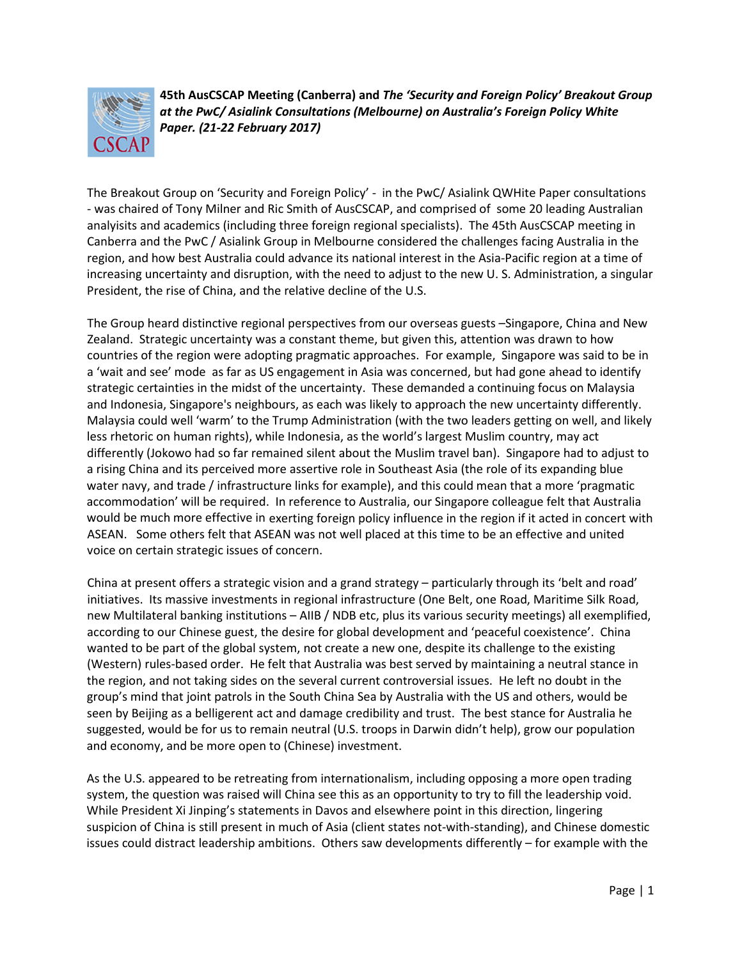

**45th AusCSCAP Meeting (Canberra) and** *The 'Security and Foreign Policy' Breakout Group at the PwC/ Asialink Consultations (Melbourne) on Australia's Foreign Policy White Paper. (21-22 February 2017)*

The Breakout Group on 'Security and Foreign Policy' - in the PwC/ Asialink QWHite Paper consultations - was chaired of Tony Milner and Ric Smith of AusCSCAP, and comprised of some 20 leading Australian analyisits and academics (including three foreign regional specialists). The 45th AusCSCAP meeting in Canberra and the PwC / Asialink Group in Melbourne considered the challenges facing Australia in the region, and how best Australia could advance its national interest in the Asia-Pacific region at a time of increasing uncertainty and disruption, with the need to adjust to the new U. S. Administration, a singular President, the rise of China, and the relative decline of the U.S.

The Group heard distinctive regional perspectives from our overseas guests –Singapore, China and New Zealand. Strategic uncertainty was a constant theme, but given this, attention was drawn to how countries of the region were adopting pragmatic approaches. For example, Singapore was said to be in a 'wait and see' mode as far as US engagement in Asia was concerned, but had gone ahead to identify strategic certainties in the midst of the uncertainty. These demanded a continuing focus on Malaysia and Indonesia, Singapore's neighbours, as each was likely to approach the new uncertainty differently. Malaysia could well 'warm' to the Trump Administration (with the two leaders getting on well, and likely less rhetoric on human rights), while Indonesia, as the world's largest Muslim country, may act differently (Jokowo had so far remained silent about the Muslim travel ban). Singapore had to adjust to a rising China and its perceived more assertive role in Southeast Asia (the role of its expanding blue water navy, and trade / infrastructure links for example), and this could mean that a more 'pragmatic accommodation' will be required. In reference to Australia, our Singapore colleague felt that Australia would be much more effective in exerting foreign policy influence in the region if it acted in concert with ASEAN. Some others felt that ASEAN was not well placed at this time to be an effective and united voice on certain strategic issues of concern.

China at present offers a strategic vision and a grand strategy – particularly through its 'belt and road' initiatives. Its massive investments in regional infrastructure (One Belt, one Road, Maritime Silk Road, new Multilateral banking institutions – AIIB / NDB etc, plus its various security meetings) all exemplified, according to our Chinese guest, the desire for global development and 'peaceful coexistence'. China wanted to be part of the global system, not create a new one, despite its challenge to the existing (Western) rules-based order. He felt that Australia was best served by maintaining a neutral stance in the region, and not taking sides on the several current controversial issues. He left no doubt in the group's mind that joint patrols in the South China Sea by Australia with the US and others, would be seen by Beijing as a belligerent act and damage credibility and trust. The best stance for Australia he suggested, would be for us to remain neutral (U.S. troops in Darwin didn't help), grow our population and economy, and be more open to (Chinese) investment.

As the U.S. appeared to be retreating from internationalism, including opposing a more open trading system, the question was raised will China see this as an opportunity to try to fill the leadership void. While President Xi Jinping's statements in Davos and elsewhere point in this direction, lingering suspicion of China is still present in much of Asia (client states not-with-standing), and Chinese domestic issues could distract leadership ambitions. Others saw developments differently – for example with the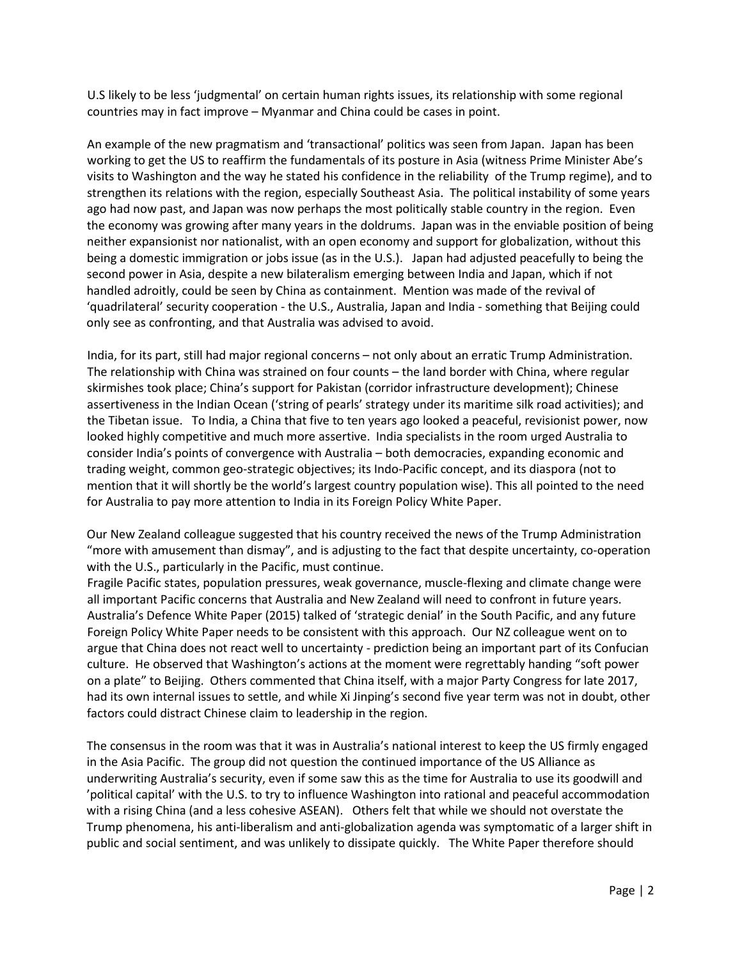U.S likely to be less 'judgmental' on certain human rights issues, its relationship with some regional countries may in fact improve – Myanmar and China could be cases in point.

An example of the new pragmatism and 'transactional' politics was seen from Japan. Japan has been working to get the US to reaffirm the fundamentals of its posture in Asia (witness Prime Minister Abe's visits to Washington and the way he stated his confidence in the reliability of the Trump regime), and to strengthen its relations with the region, especially Southeast Asia. The political instability of some years ago had now past, and Japan was now perhaps the most politically stable country in the region. Even the economy was growing after many years in the doldrums. Japan was in the enviable position of being neither expansionist nor nationalist, with an open economy and support for globalization, without this being a domestic immigration or jobs issue (as in the U.S.). Japan had adjusted peacefully to being the second power in Asia, despite a new bilateralism emerging between India and Japan, which if not handled adroitly, could be seen by China as containment. Mention was made of the revival of 'quadrilateral' security cooperation - the U.S., Australia, Japan and India - something that Beijing could only see as confronting, and that Australia was advised to avoid.

India, for its part, still had major regional concerns – not only about an erratic Trump Administration. The relationship with China was strained on four counts – the land border with China, where regular skirmishes took place; China's support for Pakistan (corridor infrastructure development); Chinese assertiveness in the Indian Ocean ('string of pearls' strategy under its maritime silk road activities); and the Tibetan issue. To India, a China that five to ten years ago looked a peaceful, revisionist power, now looked highly competitive and much more assertive. India specialists in the room urged Australia to consider India's points of convergence with Australia – both democracies, expanding economic and trading weight, common geo-strategic objectives; its Indo-Pacific concept, and its diaspora (not to mention that it will shortly be the world's largest country population wise). This all pointed to the need for Australia to pay more attention to India in its Foreign Policy White Paper.

Our New Zealand colleague suggested that his country received the news of the Trump Administration "more with amusement than dismay", and is adjusting to the fact that despite uncertainty, co-operation with the U.S., particularly in the Pacific, must continue.

Fragile Pacific states, population pressures, weak governance, muscle-flexing and climate change were all important Pacific concerns that Australia and New Zealand will need to confront in future years. Australia's Defence White Paper (2015) talked of 'strategic denial' in the South Pacific, and any future Foreign Policy White Paper needs to be consistent with this approach. Our NZ colleague went on to argue that China does not react well to uncertainty - prediction being an important part of its Confucian culture. He observed that Washington's actions at the moment were regrettably handing "soft power on a plate" to Beijing. Others commented that China itself, with a major Party Congress for late 2017, had its own internal issues to settle, and while Xi Jinping's second five year term was not in doubt, other factors could distract Chinese claim to leadership in the region.

The consensus in the room was that it was in Australia's national interest to keep the US firmly engaged in the Asia Pacific. The group did not question the continued importance of the US Alliance as underwriting Australia's security, even if some saw this as the time for Australia to use its goodwill and 'political capital' with the U.S. to try to influence Washington into rational and peaceful accommodation with a rising China (and a less cohesive ASEAN). Others felt that while we should not overstate the Trump phenomena, his anti-liberalism and anti-globalization agenda was symptomatic of a larger shift in public and social sentiment, and was unlikely to dissipate quickly. The White Paper therefore should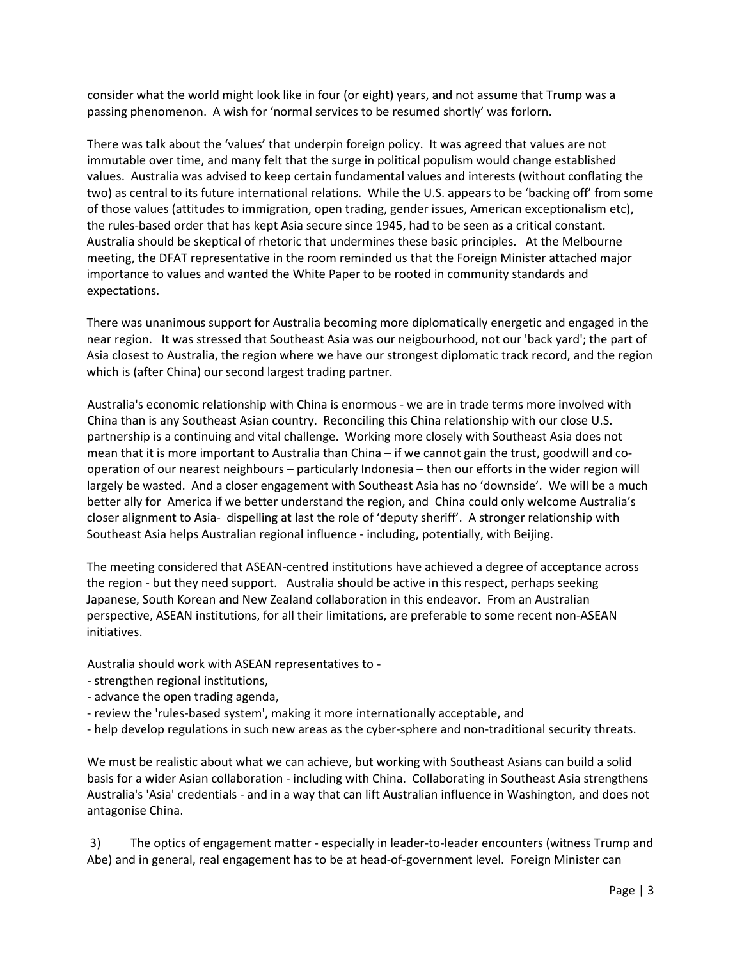consider what the world might look like in four (or eight) years, and not assume that Trump was a passing phenomenon. A wish for 'normal services to be resumed shortly' was forlorn.

There was talk about the 'values' that underpin foreign policy. It was agreed that values are not immutable over time, and many felt that the surge in political populism would change established values. Australia was advised to keep certain fundamental values and interests (without conflating the two) as central to its future international relations. While the U.S. appears to be 'backing off' from some of those values (attitudes to immigration, open trading, gender issues, American exceptionalism etc), the rules-based order that has kept Asia secure since 1945, had to be seen as a critical constant. Australia should be skeptical of rhetoric that undermines these basic principles. At the Melbourne meeting, the DFAT representative in the room reminded us that the Foreign Minister attached major importance to values and wanted the White Paper to be rooted in community standards and expectations.

There was unanimous support for Australia becoming more diplomatically energetic and engaged in the near region. It was stressed that Southeast Asia was our neigbourhood, not our 'back yard'; the part of Asia closest to Australia, the region where we have our strongest diplomatic track record, and the region which is (after China) our second largest trading partner.

Australia's economic relationship with China is enormous - we are in trade terms more involved with China than is any Southeast Asian country. Reconciling this China relationship with our close U.S. partnership is a continuing and vital challenge. Working more closely with Southeast Asia does not mean that it is more important to Australia than China – if we cannot gain the trust, goodwill and cooperation of our nearest neighbours – particularly Indonesia – then our efforts in the wider region will largely be wasted. And a closer engagement with Southeast Asia has no 'downside'. We will be a much better ally for America if we better understand the region, and China could only welcome Australia's closer alignment to Asia- dispelling at last the role of 'deputy sheriff'. A stronger relationship with Southeast Asia helps Australian regional influence - including, potentially, with Beijing.

The meeting considered that ASEAN-centred institutions have achieved a degree of acceptance across the region - but they need support. Australia should be active in this respect, perhaps seeking Japanese, South Korean and New Zealand collaboration in this endeavor. From an Australian perspective, ASEAN institutions, for all their limitations, are preferable to some recent non-ASEAN initiatives.

Australia should work with ASEAN representatives to -

- strengthen regional institutions,
- advance the open trading agenda,
- review the 'rules-based system', making it more internationally acceptable, and
- help develop regulations in such new areas as the cyber-sphere and non-traditional security threats.

We must be realistic about what we can achieve, but working with Southeast Asians can build a solid basis for a wider Asian collaboration - including with China. Collaborating in Southeast Asia strengthens Australia's 'Asia' credentials - and in a way that can lift Australian influence in Washington, and does not antagonise China.

3) The optics of engagement matter - especially in leader-to-leader encounters (witness Trump and Abe) and in general, real engagement has to be at head-of-government level. Foreign Minister can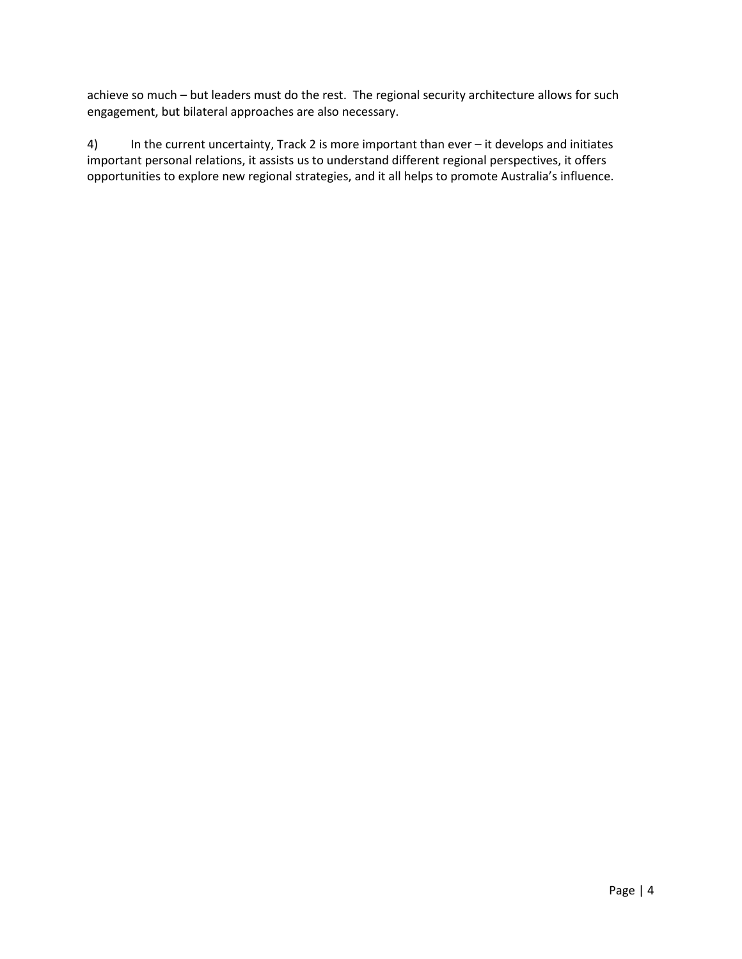achieve so much – but leaders must do the rest. The regional security architecture allows for such engagement, but bilateral approaches are also necessary.

4) In the current uncertainty, Track 2 is more important than ever – it develops and initiates important personal relations, it assists us to understand different regional perspectives, it offers opportunities to explore new regional strategies, and it all helps to promote Australia's influence.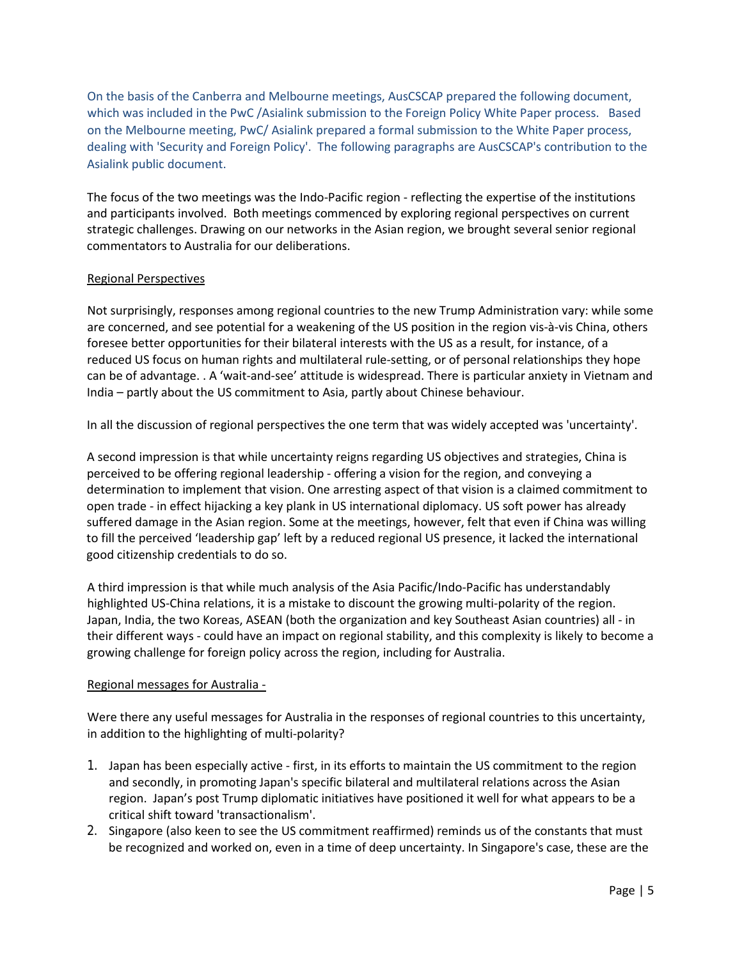On the basis of the Canberra and Melbourne meetings, AusCSCAP prepared the following document, which was included in the PwC /Asialink submission to the Foreign Policy White Paper process. Based on the Melbourne meeting, PwC/ Asialink prepared a formal submission to the White Paper process, dealing with 'Security and Foreign Policy'. The following paragraphs are AusCSCAP's contribution to the Asialink public document.

The focus of the two meetings was the Indo-Pacific region - reflecting the expertise of the institutions and participants involved. Both meetings commenced by exploring regional perspectives on current strategic challenges. Drawing on our networks in the Asian region, we brought several senior regional commentators to Australia for our deliberations.

# Regional Perspectives

Not surprisingly, responses among regional countries to the new Trump Administration vary: while some are concerned, and see potential for a weakening of the US position in the region vis-à-vis China, others foresee better opportunities for their bilateral interests with the US as a result, for instance, of a reduced US focus on human rights and multilateral rule-setting, or of personal relationships they hope can be of advantage. . A 'wait-and-see' attitude is widespread. There is particular anxiety in Vietnam and India – partly about the US commitment to Asia, partly about Chinese behaviour.

In all the discussion of regional perspectives the one term that was widely accepted was 'uncertainty'.

A second impression is that while uncertainty reigns regarding US objectives and strategies, China is perceived to be offering regional leadership - offering a vision for the region, and conveying a determination to implement that vision. One arresting aspect of that vision is a claimed commitment to open trade - in effect hijacking a key plank in US international diplomacy. US soft power has already suffered damage in the Asian region. Some at the meetings, however, felt that even if China was willing to fill the perceived 'leadership gap' left by a reduced regional US presence, it lacked the international good citizenship credentials to do so.

A third impression is that while much analysis of the Asia Pacific/Indo-Pacific has understandably highlighted US-China relations, it is a mistake to discount the growing multi-polarity of the region. Japan, India, the two Koreas, ASEAN (both the organization and key Southeast Asian countries) all - in their different ways - could have an impact on regional stability, and this complexity is likely to become a growing challenge for foreign policy across the region, including for Australia.

# Regional messages for Australia -

Were there any useful messages for Australia in the responses of regional countries to this uncertainty, in addition to the highlighting of multi-polarity?

- 1. Japan has been especially active first, in its efforts to maintain the US commitment to the region and secondly, in promoting Japan's specific bilateral and multilateral relations across the Asian region. Japan's post Trump diplomatic initiatives have positioned it well for what appears to be a critical shift toward 'transactionalism'.
- 2. Singapore (also keen to see the US commitment reaffirmed) reminds us of the constants that must be recognized and worked on, even in a time of deep uncertainty. In Singapore's case, these are the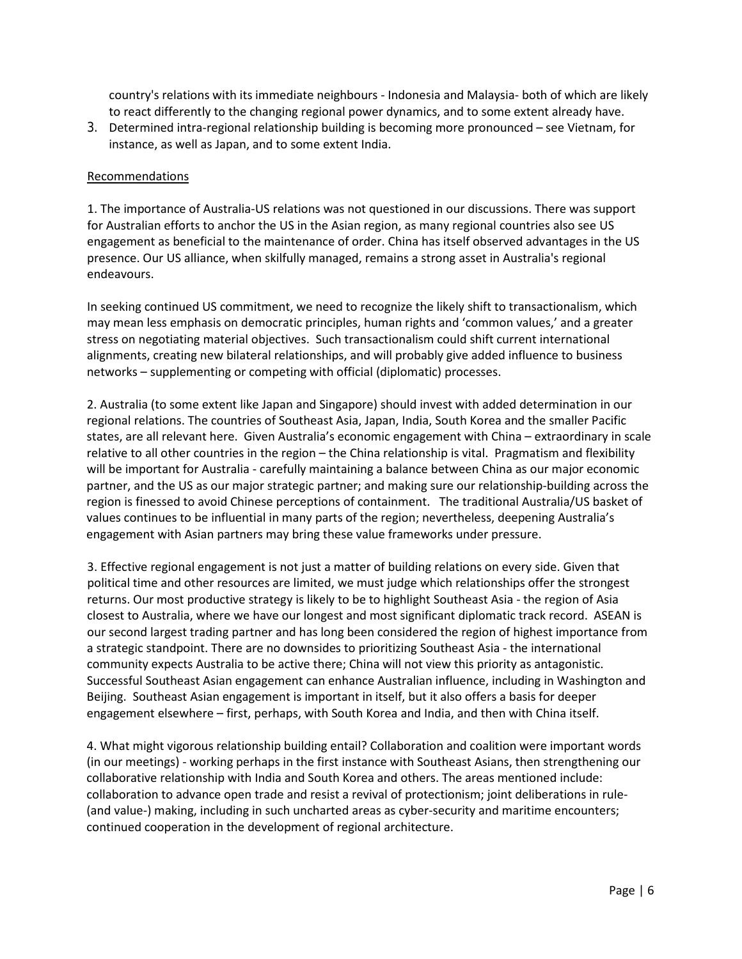country's relations with its immediate neighbours - Indonesia and Malaysia- both of which are likely to react differently to the changing regional power dynamics, and to some extent already have.

3. Determined intra-regional relationship building is becoming more pronounced – see Vietnam, for instance, as well as Japan, and to some extent India.

# Recommendations

1. The importance of Australia-US relations was not questioned in our discussions. There was support for Australian efforts to anchor the US in the Asian region, as many regional countries also see US engagement as beneficial to the maintenance of order. China has itself observed advantages in the US presence. Our US alliance, when skilfully managed, remains a strong asset in Australia's regional endeavours.

In seeking continued US commitment, we need to recognize the likely shift to transactionalism, which may mean less emphasis on democratic principles, human rights and 'common values,' and a greater stress on negotiating material objectives. Such transactionalism could shift current international alignments, creating new bilateral relationships, and will probably give added influence to business networks – supplementing or competing with official (diplomatic) processes.

2. Australia (to some extent like Japan and Singapore) should invest with added determination in our regional relations. The countries of Southeast Asia, Japan, India, South Korea and the smaller Pacific states, are all relevant here. Given Australia's economic engagement with China – extraordinary in scale relative to all other countries in the region – the China relationship is vital. Pragmatism and flexibility will be important for Australia - carefully maintaining a balance between China as our major economic partner, and the US as our major strategic partner; and making sure our relationship-building across the region is finessed to avoid Chinese perceptions of containment. The traditional Australia/US basket of values continues to be influential in many parts of the region; nevertheless, deepening Australia's engagement with Asian partners may bring these value frameworks under pressure.

3. Effective regional engagement is not just a matter of building relations on every side. Given that political time and other resources are limited, we must judge which relationships offer the strongest returns. Our most productive strategy is likely to be to highlight Southeast Asia - the region of Asia closest to Australia, where we have our longest and most significant diplomatic track record. ASEAN is our second largest trading partner and has long been considered the region of highest importance from a strategic standpoint. There are no downsides to prioritizing Southeast Asia - the international community expects Australia to be active there; China will not view this priority as antagonistic. Successful Southeast Asian engagement can enhance Australian influence, including in Washington and Beijing. Southeast Asian engagement is important in itself, but it also offers a basis for deeper engagement elsewhere – first, perhaps, with South Korea and India, and then with China itself.

4. What might vigorous relationship building entail? Collaboration and coalition were important words (in our meetings) - working perhaps in the first instance with Southeast Asians, then strengthening our collaborative relationship with India and South Korea and others. The areas mentioned include: collaboration to advance open trade and resist a revival of protectionism; joint deliberations in rule- (and value-) making, including in such uncharted areas as cyber-security and maritime encounters; continued cooperation in the development of regional architecture.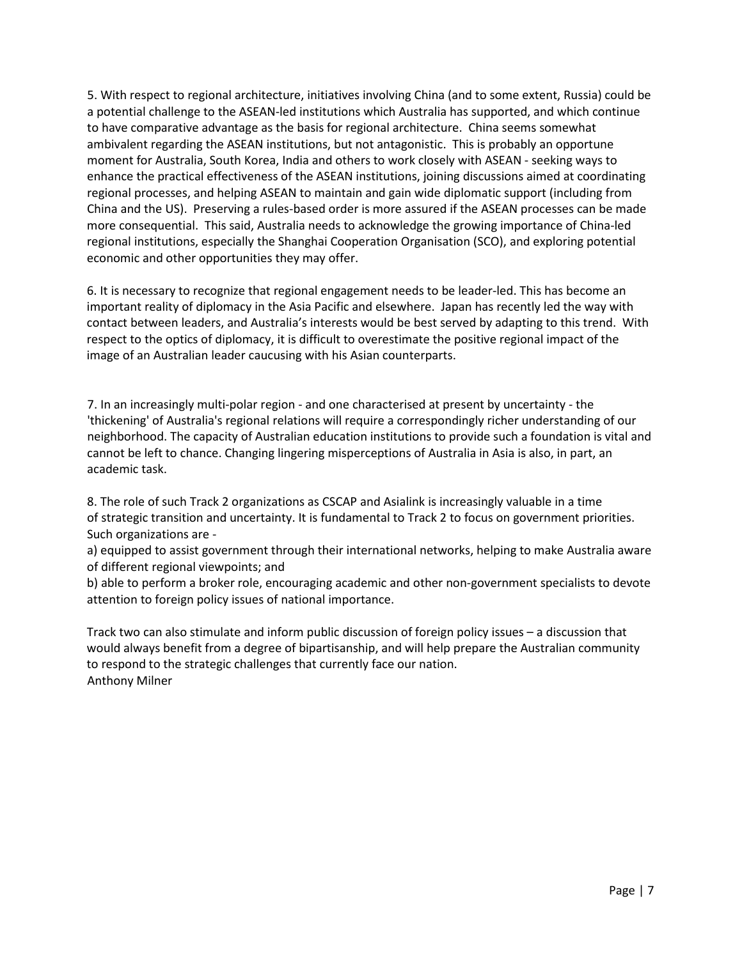5. With respect to regional architecture, initiatives involving China (and to some extent, Russia) could be a potential challenge to the ASEAN-led institutions which Australia has supported, and which continue to have comparative advantage as the basis for regional architecture. China seems somewhat ambivalent regarding the ASEAN institutions, but not antagonistic. This is probably an opportune moment for Australia, South Korea, India and others to work closely with ASEAN - seeking ways to enhance the practical effectiveness of the ASEAN institutions, joining discussions aimed at coordinating regional processes, and helping ASEAN to maintain and gain wide diplomatic support (including from China and the US). Preserving a rules-based order is more assured if the ASEAN processes can be made more consequential. This said, Australia needs to acknowledge the growing importance of China-led regional institutions, especially the Shanghai Cooperation Organisation (SCO), and exploring potential economic and other opportunities they may offer.

6. It is necessary to recognize that regional engagement needs to be leader-led. This has become an important reality of diplomacy in the Asia Pacific and elsewhere. Japan has recently led the way with contact between leaders, and Australia's interests would be best served by adapting to this trend. With respect to the optics of diplomacy, it is difficult to overestimate the positive regional impact of the image of an Australian leader caucusing with his Asian counterparts.

7. In an increasingly multi-polar region - and one characterised at present by uncertainty - the 'thickening' of Australia's regional relations will require a correspondingly richer understanding of our neighborhood. The capacity of Australian education institutions to provide such a foundation is vital and cannot be left to chance. Changing lingering misperceptions of Australia in Asia is also, in part, an academic task.

8. The role of such Track 2 organizations as CSCAP and Asialink is increasingly valuable in a time of strategic transition and uncertainty. It is fundamental to Track 2 to focus on government priorities. Such organizations are -

a) equipped to assist government through their international networks, helping to make Australia aware of different regional viewpoints; and

b) able to perform a broker role, encouraging academic and other non-government specialists to devote attention to foreign policy issues of national importance.

Track two can also stimulate and inform public discussion of foreign policy issues – a discussion that would always benefit from a degree of bipartisanship, and will help prepare the Australian community to respond to the strategic challenges that currently face our nation. Anthony Milner